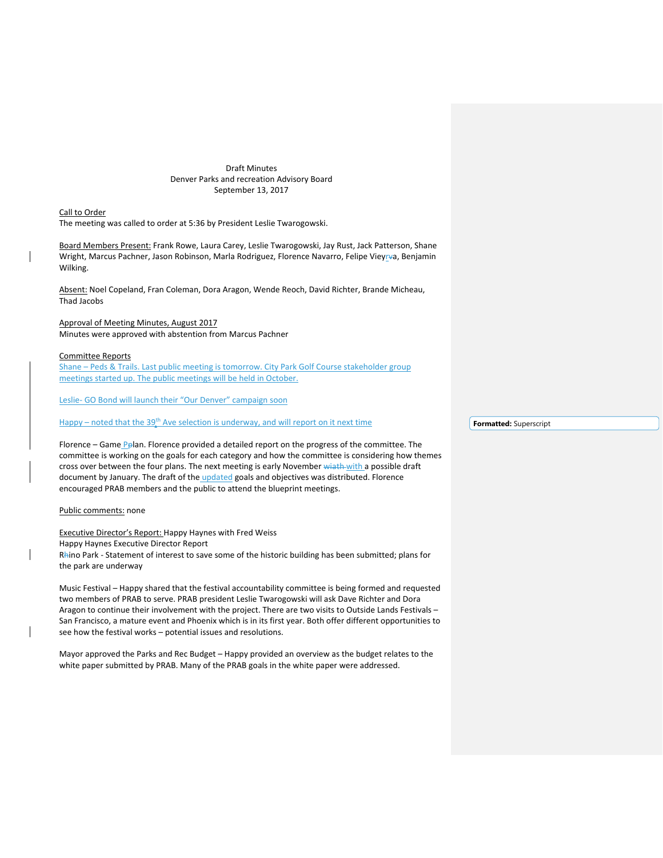Draft Minutes Denver Parks and recreation Advisory Board September 13, 2017

Call to Order The meeting was called to order at 5:36 by President Leslie Twarogowski.

Board Members Present: Frank Rowe, Laura Carey, Leslie Twarogowski, Jay Rust, Jack Patterson, Shane Wright, Marcus Pachner, Jason Robinson, Marla Rodriguez, Florence Navarro, Felipe Vieyrva, Benjamin Wilking.

Absent: Noel Copeland, Fran Coleman, Dora Aragon, Wende Reoch, David Richter, Brande Micheau, Thad Jacobs

# Approval of Meeting Minutes, August 2017 Minutes were approved with abstention from Marcus Pachner

## Committee Reports

Shane - Peds & Trails. Last public meeting is tomorrow. City Park Golf Course stakeholder group meetings started up. The public meetings will be held in October.

Leslie- GO Bond will launch their "Our Denver" campaign soon

 $H$ appy – noted that the 39<sup>th</sup> Ave selection is underway, and will report on it next time

Florence – Game Pplan. Florence provided a detailed report on the progress of the committee. The committee is working on the goals for each category and how the committee is considering how themes cross over between the four plans. The next meeting is early November wiath with a possible draft document by January. The draft of the updated goals and objectives was distributed. Florence encouraged PRAB members and the public to attend the blueprint meetings.

# Public comments: none

Executive Director's Report: Happy Haynes with Fred Weiss Happy Haynes Executive Director Report Rhino Park - Statement of interest to save some of the historic building has been submitted; plans for the park are underway

Music Festival – Happy shared that the festival accountability committee is being formed and requested two members of PRAB to serve. PRAB president Leslie Twarogowski will ask Dave Richter and Dora Aragon to continue their involvement with the project. There are two visits to Outside Lands Festivals – San Francisco, a mature event and Phoenix which is in its first year. Both offer different opportunities to see how the festival works – potential issues and resolutions.

Mayor approved the Parks and Rec Budget – Happy provided an overview as the budget relates to the white paper submitted by PRAB. Many of the PRAB goals in the white paper were addressed.

**Formatted:** Superscript